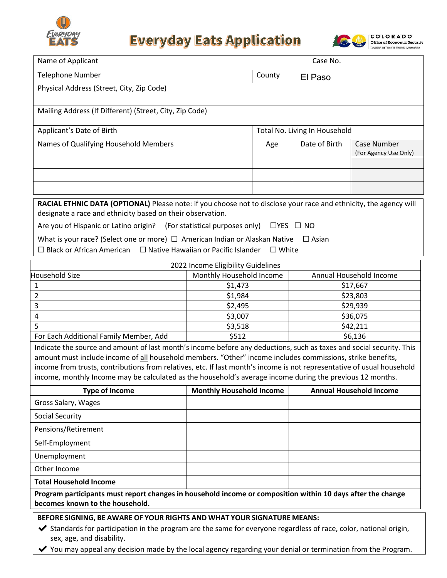

## **Everyday Eats Application**



| Name of Applicant                                                                                                                                                                                                                   |                                 |                               |                         | Case No.      |                                      |  |  |
|-------------------------------------------------------------------------------------------------------------------------------------------------------------------------------------------------------------------------------------|---------------------------------|-------------------------------|-------------------------|---------------|--------------------------------------|--|--|
| <b>Telephone Number</b><br>County                                                                                                                                                                                                   |                                 |                               | El Paso                 |               |                                      |  |  |
| Physical Address (Street, City, Zip Code)                                                                                                                                                                                           |                                 |                               |                         |               |                                      |  |  |
|                                                                                                                                                                                                                                     |                                 |                               |                         |               |                                      |  |  |
| Mailing Address (If Different) (Street, City, Zip Code)                                                                                                                                                                             |                                 |                               |                         |               |                                      |  |  |
| Applicant's Date of Birth                                                                                                                                                                                                           |                                 | Total No. Living In Household |                         |               |                                      |  |  |
| Names of Qualifying Household Members                                                                                                                                                                                               |                                 | Age                           |                         | Date of Birth | Case Number<br>(For Agency Use Only) |  |  |
|                                                                                                                                                                                                                                     |                                 |                               |                         |               |                                      |  |  |
|                                                                                                                                                                                                                                     |                                 |                               |                         |               |                                      |  |  |
|                                                                                                                                                                                                                                     |                                 |                               |                         |               |                                      |  |  |
| RACIAL ETHNIC DATA (OPTIONAL) Please note: if you choose not to disclose your race and ethnicity, the agency will<br>designate a race and ethnicity based on their observation.                                                     |                                 |                               |                         |               |                                      |  |  |
| Are you of Hispanic or Latino origin? (For statistical purposes only)<br>$\Box$ YES $\Box$ NO                                                                                                                                       |                                 |                               |                         |               |                                      |  |  |
| What is your race? (Select one or more) $\Box$ American Indian or Alaskan Native<br>$\Box$ Asian                                                                                                                                    |                                 |                               |                         |               |                                      |  |  |
| $\Box$ Native Hawaiian or Pacific Islander<br>$\Box$ Black or African American<br>$\Box$ White                                                                                                                                      |                                 |                               |                         |               |                                      |  |  |
| 2022 Income Eligibility Guidelines                                                                                                                                                                                                  |                                 |                               |                         |               |                                      |  |  |
| <b>Household Size</b>                                                                                                                                                                                                               | Monthly Household Income        |                               | Annual Household Income |               |                                      |  |  |
| $\mathbf{1}$                                                                                                                                                                                                                        | \$1,473                         |                               |                         | \$17,667      |                                      |  |  |
| $\overline{2}$                                                                                                                                                                                                                      | \$1,984                         |                               |                         | \$23,803      |                                      |  |  |
| $\mathsf{3}$                                                                                                                                                                                                                        | \$2,495                         |                               |                         | \$29,939      |                                      |  |  |
| 4                                                                                                                                                                                                                                   | \$3,007                         |                               |                         | \$36,075      |                                      |  |  |
| 5                                                                                                                                                                                                                                   | \$3,518                         |                               |                         | \$42,211      |                                      |  |  |
| For Each Additional Family Member, Add                                                                                                                                                                                              | \$512                           |                               | \$6,136                 |               |                                      |  |  |
| Indicate the source and amount of last month's income before any deductions, such as taxes and social security. This                                                                                                                |                                 |                               |                         |               |                                      |  |  |
| amount must include income of all household members. "Other" income includes commissions, strike benefits,                                                                                                                          |                                 |                               |                         |               |                                      |  |  |
| income from trusts, contributions from relatives, etc. If last month's income is not representative of usual household<br>income, monthly Income may be calculated as the household's average income during the previous 12 months. |                                 |                               |                         |               |                                      |  |  |
| <b>Type of Income</b>                                                                                                                                                                                                               | <b>Monthly Household Income</b> |                               |                         |               | <b>Annual Household Income</b>       |  |  |
| Gross Salary, Wages                                                                                                                                                                                                                 |                                 |                               |                         |               |                                      |  |  |
| <b>Social Security</b>                                                                                                                                                                                                              |                                 |                               |                         |               |                                      |  |  |
| Pensions/Retirement                                                                                                                                                                                                                 |                                 |                               |                         |               |                                      |  |  |
| Self-Employment                                                                                                                                                                                                                     |                                 |                               |                         |               |                                      |  |  |
| Unemployment                                                                                                                                                                                                                        |                                 |                               |                         |               |                                      |  |  |
| Other Income                                                                                                                                                                                                                        |                                 |                               |                         |               |                                      |  |  |
| <b>Total Household Income</b>                                                                                                                                                                                                       |                                 |                               |                         |               |                                      |  |  |
| Program participants must report changes in household income or composition within 10 days after the change                                                                                                                         |                                 |                               |                         |               |                                      |  |  |

**Program participants must report changes in household income or composition within 10 days after the change becomes known to the household.**

## **BEFORE SIGNING, BE AWARE OF YOUR RIGHTS AND WHAT YOUR SIGNATURE MEANS:**

✔ Standards for participation in the program are the same for everyone regardless of race, color, national origin, sex, age, and disability.

◆ You may appeal any decision made by the local agency regarding your denial or termination from the Program.